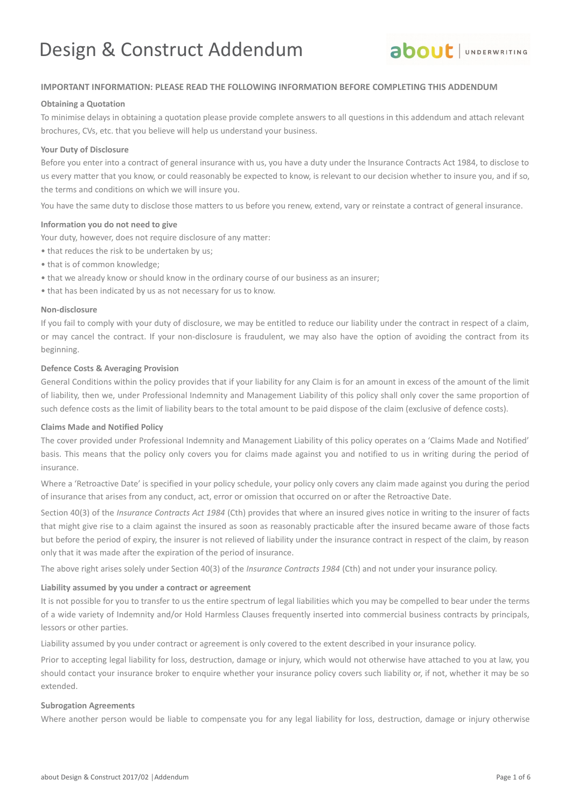# Design & Construct Addendum



#### **IMPORTANT INFORMATION: PLEASE READ THE FOLLOWING INFORMATION BEFORE COMPLETING THIS ADDENDUM**

#### **Obtaining a Quotation**

To minimise delays in obtaining a quotation please provide complete answers to all questions in this addendum and attach relevant brochures, CVs, etc. that you believe will help us understand your business.

#### **Your Duty of Disclosure**

Before you enter into a contract of general insurance with us, you have a duty under the Insurance Contracts Act 1984, to disclose to us every matter that you know, or could reasonably be expected to know, is relevant to our decision whether to insure you, and if so, the terms and conditions on which we will insure you.

You have the same duty to disclose those matters to us before you renew, extend, vary or reinstate a contract of general insurance.

#### **Information you do not need to give**

Your duty, however, does not require disclosure of any matter:

- that reduces the risk to be undertaken by us;
- that is of common knowledge;
- that we already know or should know in the ordinary course of our business as an insurer;
- that has been indicated by us as not necessary for us to know.

#### **Non-disclosure**

If you fail to comply with your duty of disclosure, we may be entitled to reduce our liability under the contract in respect of a claim, or may cancel the contract. If your non-disclosure is fraudulent, we may also have the option of avoiding the contract from its beginning.

#### **Defence Costs & Averaging Provision**

General Conditions within the policy provides that if your liability for any Claim is for an amount in excess of the amount of the limit of liability, then we, under Professional Indemnity and Management Liability of this policy shall only cover the same proportion of such defence costs as the limit of liability bears to the total amount to be paid dispose of the claim (exclusive of defence costs).

#### **Claims Made and Notified Policy**

The cover provided under Professional Indemnity and Management Liability of this policy operates on a 'Claims Made and Notified' basis. This means that the policy only covers you for claims made against you and notified to us in writing during the period of insurance.

Where a 'Retroactive Date' is specified in your policy schedule, your policy only covers any claim made against you during the period of insurance that arises from any conduct, act, error or omission that occurred on or after the Retroactive Date.

Section 40(3) of the *Insurance Contracts Act 1984* (Cth) provides that where an insured gives notice in writing to the insurer of facts that might give rise to a claim against the insured as soon as reasonably practicable after the insured became aware of those facts but before the period of expiry, the insurer is not relieved of liability under the insurance contract in respect of the claim, by reason only that it was made after the expiration of the period of insurance.

The above right arises solely under Section 40(3) of the *Insurance Contracts 1984* (Cth) and not under your insurance policy.

#### **Liability assumed by you under a contract or agreement**

It is not possible for you to transfer to us the entire spectrum of legal liabilities which you may be compelled to bear under the terms of a wide variety of Indemnity and/or Hold Harmless Clauses frequently inserted into commercial business contracts by principals, lessors or other parties.

Liability assumed by you under contract or agreement is only covered to the extent described in your insurance policy.

Prior to accepting legal liability for loss, destruction, damage or injury, which would not otherwise have attached to you at law, you should contact your insurance broker to enquire whether your insurance policy covers such liability or, if not, whether it may be so extended.

#### **Subrogation Agreements**

Where another person would be liable to compensate you for any legal liability for loss, destruction, damage or injury otherwise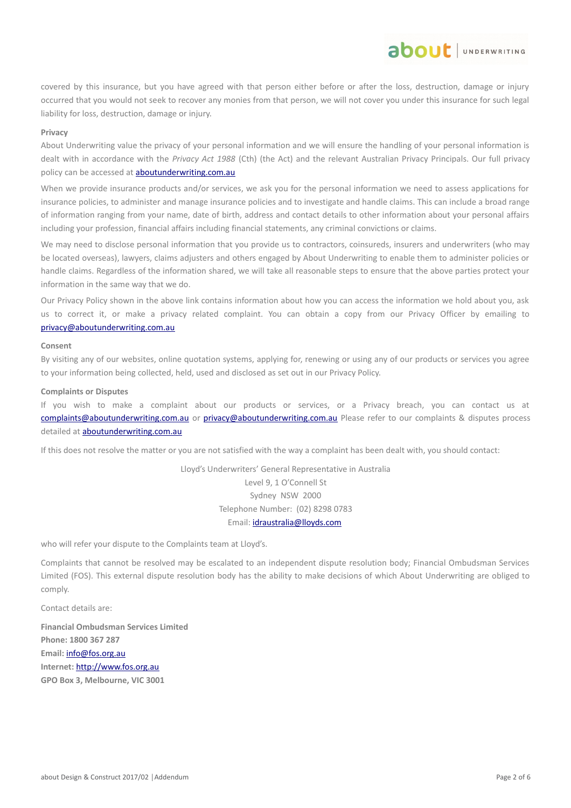covered by this insurance, but you have agreed with that person either before or after the loss, destruction, damage or injury occurred that you would not seek to recover any monies from that person, we will not cover you under this insurance for such legal liability for loss, destruction, damage or injury.

about JUNDERWRITING

#### **Privacy**

About Underwriting value the privacy of your personal information and we will ensure the handling of your personal information is dealt with in accordance with the *Privacy Act 1988* (Cth) (the Act) and the relevant Australian Privacy Principals. Our full privacy policy can be accessed at **aboutunderwriting.com.au** 

When we provide insurance products and/or services, we ask you for the personal information we need to assess applications for insurance policies, to administer and manage insurance policies and to investigate and handle claims. This can include a broad range of information ranging from your name, date of birth, address and contact details to other information about your personal affairs including your profession, financial affairs including financial statements, any criminal convictions or claims.

We may need to disclose personal information that you provide us to contractors, coinsureds, insurers and underwriters (who may be located overseas), lawyers, claims adjusters and others engaged by About Underwriting to enable them to administer policies or handle claims. Regardless of the information shared, we will take all reasonable steps to ensure that the above parties protect your information in the same way that we do.

Our Privacy Policy shown in the above link contains information about how you can access the information we hold about you, ask us to correct it, or make a privacy related complaint. You can obtain a copy from our Privacy Officer by emailing to [privacy@aboutunderwriting.com.au](mailto:privacy@aboutunderwriting.com.au)

#### **Consent**

By visiting any of our websites, online quotation systems, applying for, renewing or using any of our products or services you agree to your information being collected, held, used and disclosed as set out in our Privacy Policy.

#### **Complaints or Disputes**

If you wish to make a complaint about our products or services, or a Privacy breach, you can contact us at [complaints@aboutunderwriting.com.au](mailto:complaints@aboutunderwriting.com.au) or [privacy@aboutunderwriting.com.au](mailto:privacy@aboutunderwriting.com.au) Please refer to our complaints & disputes process detailed at [aboutunderwriting.com.au](http://www.aboutunderwriting.com.au/)

If this does not resolve the matter or you are not satisfied with the way a complaint has been dealt with, you should contact:

Lloyd's Underwriters' General Representative in Australia Level 9, 1 O'Connell St Sydney NSW 2000 Telephone Number: (02) 8298 0783 Email: [idraustralia@lloyds.com](mailto:idraustralia@lloyds.com)

who will refer your dispute to the Complaints team at Lloyd's.

Complaints that cannot be resolved may be escalated to an independent dispute resolution body; Financial Ombudsman Services Limited (FOS). This external dispute resolution body has the ability to make decisions of which About Underwriting are obliged to comply.

Contact details are:

**Financial Ombudsman Services Limited Phone: 1800 367 287 Email:** [info@fos.org.au](mailto:info@fos.org.au) **Internet:** [http://www.fos.org.au](http://www.fos.org.au/) **GPO Box 3, Melbourne, VIC 3001**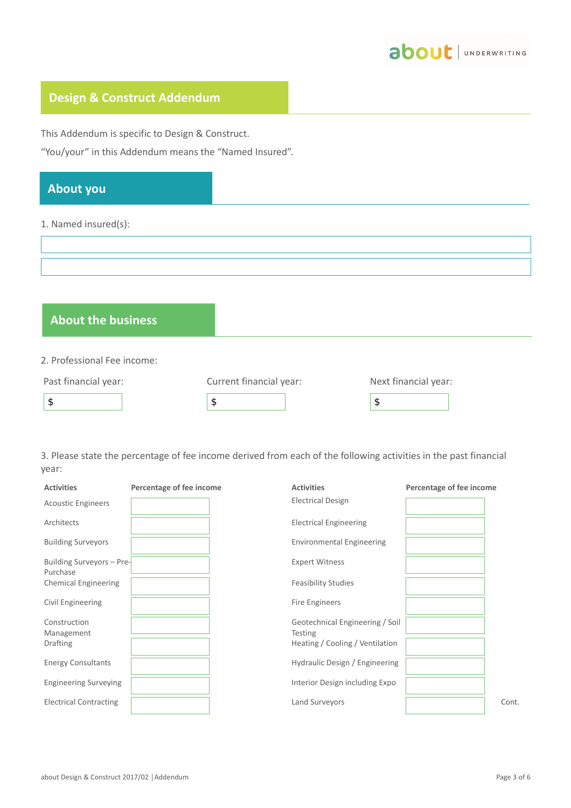

## **Design & Construct Addendum**

This Addendum is specific to Design & Construct.

"You/your" in this Addendum means the "Named Insured".

## **About you**

#### 1. Named insured(s):

## **About the business**

2. Professional Fee income:

| Past financial year: | Current financial year: | Next financial year: |
|----------------------|-------------------------|----------------------|
|                      |                         |                      |

3. Please state the percentage of fee income derived from each of the following activities in the past financial year:

| <b>Activities</b>                     | Percentage of fee income | <b>Activities</b>                                 | Percentage of fee income |
|---------------------------------------|--------------------------|---------------------------------------------------|--------------------------|
| <b>Acoustic Engineers</b>             |                          | <b>Electrical Design</b>                          |                          |
| Architects                            |                          | <b>Electrical Engineering</b>                     |                          |
| <b>Building Surveyors</b>             |                          | <b>Environmental Engineering</b>                  |                          |
| Building Surveyors - Pre-<br>Purchase |                          | <b>Expert Witness</b>                             |                          |
| <b>Chemical Engineering</b>           |                          | <b>Feasibility Studies</b>                        |                          |
| Civil Engineering                     |                          | Fire Engineers                                    |                          |
| Construction<br>Management            |                          | Geotechnical Engineering / Soil<br><b>Testing</b> |                          |
| <b>Drafting</b>                       |                          | Heating / Cooling / Ventilation                   |                          |
| <b>Energy Consultants</b>             |                          | Hydraulic Design / Engineering                    |                          |
| <b>Engineering Surveying</b>          |                          | Interior Design including Expo                    |                          |
| <b>Electrical Contracting</b>         |                          | Land Surveyors                                    | Cont.                    |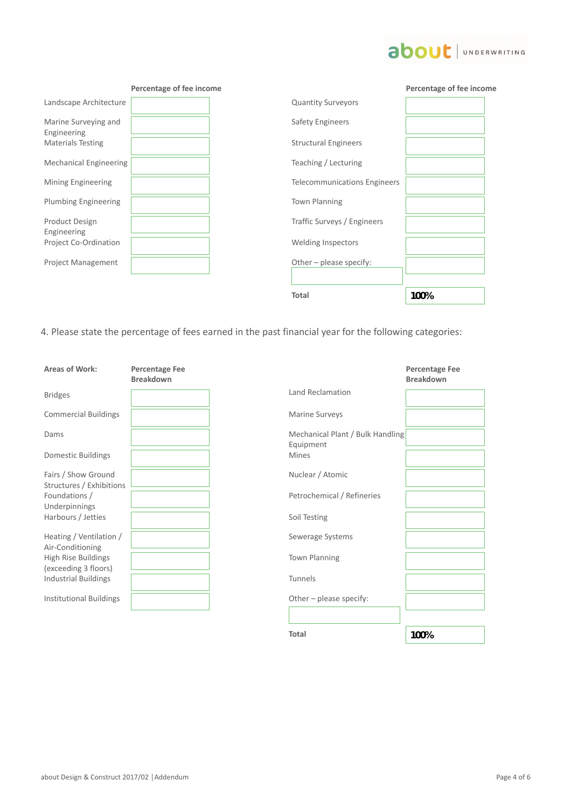## about | UNDERWRITING

|                                     | Percentage of fee income |                              | Percentage of fee income |
|-------------------------------------|--------------------------|------------------------------|--------------------------|
| Landscape Architecture              |                          | <b>Quantity Surveyors</b>    |                          |
| Marine Surveying and<br>Engineering |                          | Safety Engineers             |                          |
| <b>Materials Testing</b>            |                          | <b>Structural Engineers</b>  |                          |
| <b>Mechanical Engineering</b>       |                          | Teaching / Lecturing         |                          |
| Mining Engineering                  |                          | Telecommunications Engineers |                          |
| <b>Plumbing Engineering</b>         |                          | <b>Town Planning</b>         |                          |
| Product Design<br>Engineering       |                          | Traffic Surveys / Engineers  |                          |
| Project Co-Ordination               |                          | <b>Welding Inspectors</b>    |                          |
| Project Management                  |                          | Other - please specify:      |                          |
|                                     |                          |                              |                          |
|                                     |                          | <b>Total</b>                 | 100%                     |

4. Please state the percentage of fees earned in the past financial year for the following categories:

| <b>Areas of Work:</b>                           | <b>Percentage Fee</b><br><b>Breakdown</b> |                                               |
|-------------------------------------------------|-------------------------------------------|-----------------------------------------------|
| <b>Bridges</b>                                  |                                           | Land Reclamation                              |
| <b>Commercial Buildings</b>                     |                                           | <b>Marine Surveys</b>                         |
| Dams                                            |                                           | Mechanical Plant / Bulk Handling<br>Equipment |
| <b>Domestic Buildings</b>                       |                                           | <b>Mines</b>                                  |
| Fairs / Show Ground<br>Structures / Exhibitions |                                           | Nuclear / Atomic                              |
| Foundations /<br>Underpinnings                  |                                           | Petrochemical / Refineries                    |
| Harbours / Jetties                              |                                           | Soil Testing                                  |
| Heating / Ventilation /<br>Air-Conditioning     |                                           | Sewerage Systems                              |
| High Rise Buildings<br>(exceeding 3 floors)     |                                           | <b>Town Planning</b>                          |
| <b>Industrial Buildings</b>                     |                                           | Tunnels                                       |
| <b>Institutional Buildings</b>                  |                                           | Other - please specify:                       |

|                                                               | <b>Breakdown</b> |
|---------------------------------------------------------------|------------------|
| Land Reclamation                                              |                  |
| Marine Surveys                                                |                  |
| Mechanical Plant / Bulk Handling<br>Equipment<br><b>Mines</b> |                  |
| Nuclear / Atomic                                              |                  |
| Petrochemical / Refineries                                    |                  |
| Soil Testing                                                  |                  |
| Sewerage Systems                                              |                  |
| Town Planning                                                 |                  |
| Tunnels                                                       |                  |
| Other - please specify:                                       |                  |
|                                                               |                  |
| <b>Total</b>                                                  | 100%             |

## **Percentage Fee**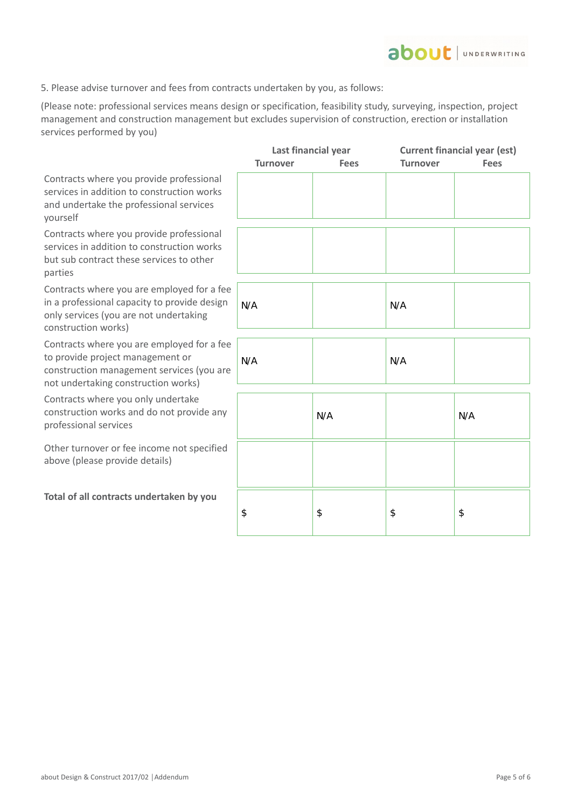

5. Please advise turnover and fees from contracts undertaken by you, as follows:

(Please note: professional services means design or specification, feasibility study, surveying, inspection, project management and construction management but excludes supervision of construction, erection or installation services performed by you)

|                                                                                                                                                                    | Last financial year |             | <b>Current financial year (est)</b> |             |
|--------------------------------------------------------------------------------------------------------------------------------------------------------------------|---------------------|-------------|-------------------------------------|-------------|
|                                                                                                                                                                    | <b>Turnover</b>     | <b>Fees</b> | <b>Turnover</b>                     | <b>Fees</b> |
| Contracts where you provide professional<br>services in addition to construction works<br>and undertake the professional services<br>yourself                      |                     |             |                                     |             |
| Contracts where you provide professional<br>services in addition to construction works<br>but sub contract these services to other<br>parties                      |                     |             |                                     |             |
| Contracts where you are employed for a fee<br>in a professional capacity to provide design<br>only services (you are not undertaking<br>construction works)        | N/A                 |             | N/A                                 |             |
| Contracts where you are employed for a fee<br>to provide project management or<br>construction management services (you are<br>not undertaking construction works) | N/A                 |             | N/A                                 |             |
| Contracts where you only undertake<br>construction works and do not provide any<br>professional services                                                           |                     | N/A         |                                     | N/A         |
| Other turnover or fee income not specified<br>above (please provide details)                                                                                       |                     |             |                                     |             |
| Total of all contracts undertaken by you                                                                                                                           | \$                  | \$          | \$                                  | \$          |